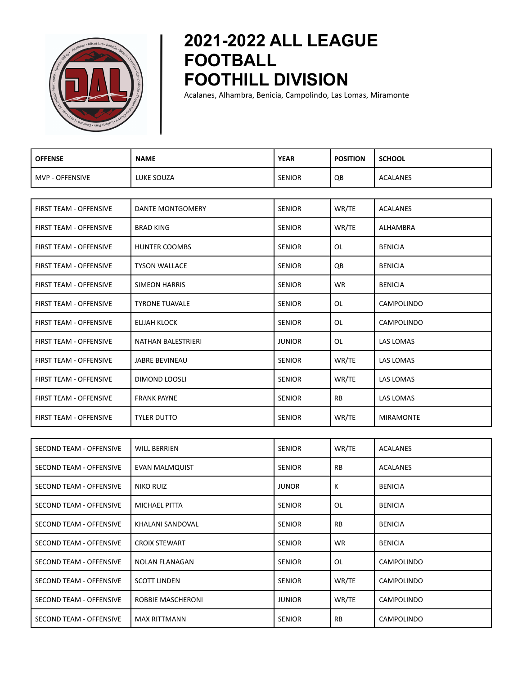

## **2021-2022 ALL LEAGUE FOOTBALL FOOTHILL DIVISION**

Acalanes, Alhambra, Benicia, Campolindo, Las Lomas, Miramonte

| <b>OFFENSE</b>                 | <b>NAME</b>           | <b>YEAR</b>   | <b>POSITION</b> | <b>SCHOOL</b>     |
|--------------------------------|-----------------------|---------------|-----------------|-------------------|
| <b>MVP - OFFENSIVE</b>         | LUKE SOUZA            | <b>SENIOR</b> | QB              | <b>ACALANES</b>   |
|                                |                       |               |                 |                   |
| FIRST TEAM - OFFENSIVE         | DANTE MONTGOMERY      | <b>SENIOR</b> | WR/TE           | <b>ACALANES</b>   |
| FIRST TEAM - OFFENSIVE         | <b>BRAD KING</b>      | <b>SENIOR</b> | WR/TE           | ALHAMBRA          |
| <b>FIRST TEAM - OFFENSIVE</b>  | HUNTER COOMBS         | <b>SENIOR</b> | OL              | <b>BENICIA</b>    |
| FIRST TEAM - OFFENSIVE         | <b>TYSON WALLACE</b>  | <b>SENIOR</b> | QB              | <b>BENICIA</b>    |
| FIRST TEAM - OFFENSIVE         | <b>SIMEON HARRIS</b>  | <b>SENIOR</b> | <b>WR</b>       | <b>BENICIA</b>    |
| FIRST TEAM - OFFENSIVE         | <b>TYRONE TUAVALE</b> | <b>SENIOR</b> | OL              | CAMPOLINDO        |
| <b>FIRST TEAM - OFFENSIVE</b>  | ELIJAH KLOCK          | <b>SENIOR</b> | OL              | <b>CAMPOLINDO</b> |
| FIRST TEAM - OFFENSIVE         | NATHAN BALESTRIERI    | <b>JUNIOR</b> | OL              | LAS LOMAS         |
| <b>FIRST TEAM - OFFENSIVE</b>  | <b>JABRE BEVINEAU</b> | <b>SENIOR</b> | WR/TE           | LAS LOMAS         |
| FIRST TEAM - OFFENSIVE         | DIMOND LOOSLI         | <b>SENIOR</b> | WR/TE           | LAS LOMAS         |
| FIRST TEAM - OFFENSIVE         | <b>FRANK PAYNE</b>    | <b>SENIOR</b> | RB              | LAS LOMAS         |
| FIRST TEAM - OFFENSIVE         | <b>TYLER DUTTO</b>    | <b>SENIOR</b> | WR/TE           | <b>MIRAMONTE</b>  |
|                                |                       |               |                 |                   |
| SECOND TEAM - OFFENSIVE        | <b>WILL BERRIEN</b>   | <b>SENIOR</b> | WR/TE           | <b>ACALANES</b>   |
| SECOND TEAM - OFFENSIVE        | EVAN MALMQUIST        | <b>SENIOR</b> | RB              | ACALANES          |
| <b>SECOND TEAM - OFFENSIVE</b> | NIKO RUIZ             | <b>JUNOR</b>  | K               | <b>BENICIA</b>    |
| SECOND TEAM - OFFENSIVE        | MICHAEL PITTA         | SENIOR        | OL              | <b>BENICIA</b>    |
| <b>SECOND TEAM - OFFENSIVE</b> | KHALANI SANDOVAL      | <b>SENIOR</b> | RB              | <b>BENICIA</b>    |
| SECOND TEAM - OFFENSIVE        | <b>CROIX STEWART</b>  | SENIOR        | WR              | <b>BENICIA</b>    |
| SECOND TEAM - OFFENSIVE        | NOLAN FLANAGAN        | <b>SENIOR</b> | OL              | CAMPOLINDO        |
| SECOND TEAM - OFFENSIVE        | <b>SCOTT LINDEN</b>   | <b>SENIOR</b> | WR/TE           | <b>CAMPOLINDO</b> |
| SECOND TEAM - OFFENSIVE        | ROBBIE MASCHERONI     | <b>JUNIOR</b> | WR/TE           | CAMPOLINDO        |
| SECOND TEAM - OFFENSIVE        | <b>MAX RITTMANN</b>   | SENIOR        | RB              | CAMPOLINDO        |